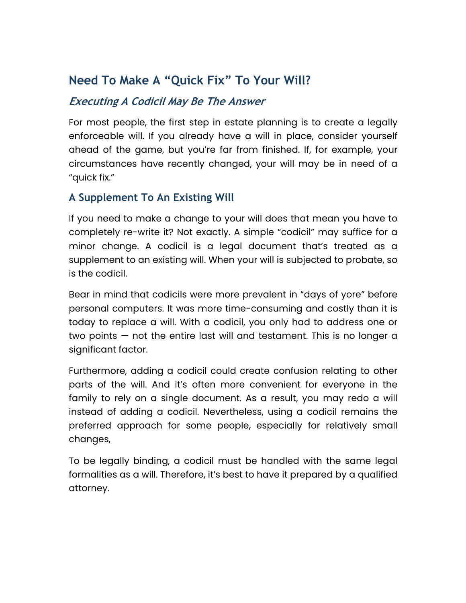# **Need To Make A "Quick Fix" To Your Will?**

## **Executing A Codicil May Be The Answer**

For most people, the first step in estate planning is to create a legally enforceable will. If you already have a will in place, consider yourself ahead of the game, but you're far from finished. If, for example, your circumstances have recently changed, your will may be in need of a "quick fix."

## **A Supplement To An Existing Will**

If you need to make a change to your will does that mean you have to completely re-write it? Not exactly. A simple "codicil" may suffice for a minor change. A codicil is a legal document that's treated as a supplement to an existing will. When your will is subjected to probate, so is the codicil.

Bear in mind that codicils were more prevalent in "days of yore" before personal computers. It was more time-consuming and costly than it is today to replace a will. With a codicil, you only had to address one or two points — not the entire last will and testament. This is no longer a significant factor.

Furthermore, adding a codicil could create confusion relating to other parts of the will. And it's often more convenient for everyone in the family to rely on a single document. As a result, you may redo a will instead of adding a codicil. Nevertheless, using a codicil remains the preferred approach for some people, especially for relatively small changes,

To be legally binding, a codicil must be handled with the same legal formalities as a will. Therefore, it's best to have it prepared by a qualified attorney.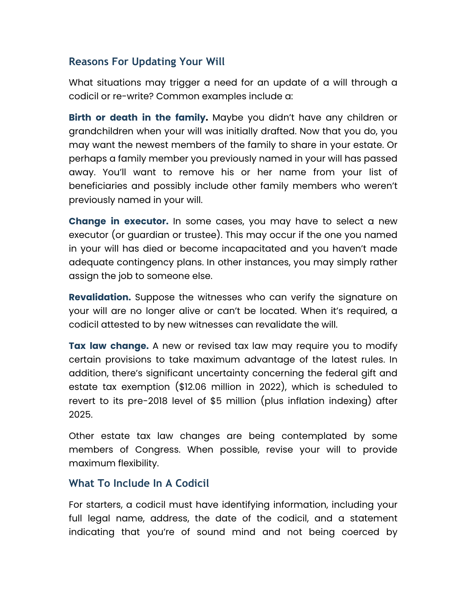### **Reasons For Updating Your Will**

What situations may trigger a need for an update of a will through a codicil or re-write? Common examples include a:

**Birth or death in the family.** Maybe you didn't have any children or grandchildren when your will was initially drafted. Now that you do, you may want the newest members of the family to share in your estate. Or perhaps a family member you previously named in your will has passed away. You'll want to remove his or her name from your list of beneficiaries and possibly include other family members who weren't previously named in your will.

**Change in executor.** In some cases, you may have to select a new executor (or guardian or trustee). This may occur if the one you named in your will has died or become incapacitated and you haven't made adequate contingency plans. In other instances, you may simply rather assign the job to someone else.

**Revalidation.** Suppose the witnesses who can verify the signature on your will are no longer alive or can't be located. When it's required, a codicil attested to by new witnesses can revalidate the will.

**Tax law change.** A new or revised tax law may require you to modify certain provisions to take maximum advantage of the latest rules. In addition, there's significant uncertainty concerning the federal gift and estate tax exemption (\$12.06 million in 2022), which is scheduled to revert to its pre-2018 level of \$5 million (plus inflation indexing) after 2025.

Other estate tax law changes are being contemplated by some members of Congress. When possible, revise your will to provide maximum flexibility.

#### **What To Include In A Codicil**

For starters, a codicil must have identifying information, including your full legal name, address, the date of the codicil, and a statement indicating that you're of sound mind and not being coerced by